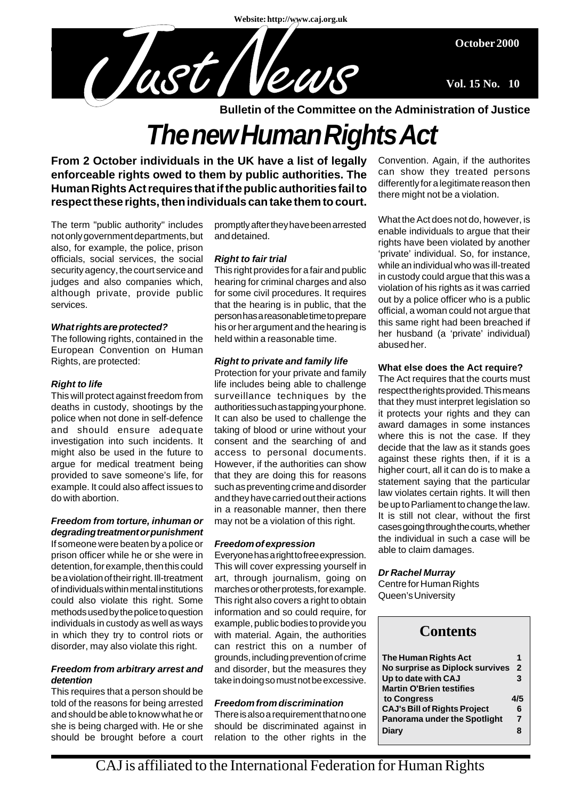**Website: http://www.caj.org.uk**

**October 2000**

**Vol. 15 No. 10**

**Bulletin of the Committee on the Administration of Justice**

# *The new Human Rights Act*

**From 2 October individuals in the UK have a list of legally enforceable rights owed to them by public authorities. The Human Rights Act requires that if the public authorities fail to respect these rights, then individuals can take them to court.**

Clast News

The term "public authority" includes not only government departments, but also, for example, the police, prison officials, social services, the social security agency, the court service and judges and also companies which, although private, provide public services.

### *What rights are protected?*

The following rights, contained in the European Convention on Human Rights, are protected:

### *Right to life*

This will protect against freedom from deaths in custody, shootings by the police when not done in self-defence and should ensure adequate investigation into such incidents. It might also be used in the future to argue for medical treatment being provided to save someone's life, for example. It could also affect issues to do with abortion.

### *Freedom from torture, inhuman or degrading treatment or punishment*

If someone were beaten by a police or prison officer while he or she were in detention, for example, then this could be a violation of their right. Ill-treatment of individuals within mental institutions could also violate this right. Some methods used by the police to question individuals in custody as well as ways in which they try to control riots or disorder, may also violate this right.

### *Freedom from arbitrary arrest and detention*

This requires that a person should be told of the reasons for being arrested and should be able to know what he or she is being charged with. He or she should be brought before a court promptly after they have been arrested and detained.

### *Right to fair trial*

This right provides for a fair and public hearing for criminal charges and also for some civil procedures. It requires that the hearing is in public, that the person has a reasonable time to prepare his or her argument and the hearing is held within a reasonable time.

### *Right to private and family life*

Protection for your private and family life includes being able to challenge surveillance techniques by the authorities such as tapping your phone. It can also be used to challenge the taking of blood or urine without your consent and the searching of and access to personal documents. However, if the authorities can show that they are doing this for reasons such as preventing crime and disorder and they have carried out their actions in a reasonable manner, then there may not be a violation of this right.

### *Freedom of expression*

Everyone has a right to free expression. This will cover expressing yourself in art, through journalism, going on marches or other protests, for example. This right also covers a right to obtain information and so could require, for example, public bodies to provide you with material. Again, the authorities can restrict this on a number of grounds, including prevention of crime and disorder, but the measures they take in doing so must not be excessive.

### *Freedom from discrimination*

There is also a requirement that no one should be discriminated against in relation to the other rights in the

Convention. Again, if the authorites can show they treated persons differently for a legitimate reason then there might not be a violation.

What the Act does not do, however, is enable individuals to argue that their rights have been violated by another 'private' individual. So, for instance, while an individual who was ill-treated in custody could argue that this was a violation of his rights as it was carried out by a police officer who is a public official, a woman could not argue that this same right had been breached if her husband (a 'private' individual) abused her.

### **What else does the Act require?**

The Act requires that the courts must respect the rights provided. This means that they must interpret legislation so it protects your rights and they can award damages in some instances where this is not the case. If they decide that the law as it stands goes against these rights then, if it is a higher court, all it can do is to make a statement saying that the particular law violates certain rights. It will then be up to Parliament to change the law. It is still not clear, without the first cases going through the courts, whether the individual in such a case will be able to claim damages.

### *Dr Rachel Murray*

Centre for Human Rights Queen's University

| <b>Contents</b>                     |                |
|-------------------------------------|----------------|
| The Human Rights Act                |                |
| No surprise as Diplock survives     | $\overline{2}$ |
| Up to date with CAJ                 | 3              |
| <b>Martin O'Brien testifies</b>     |                |
| to Congress                         | 4/5            |
| <b>CAJ's Bill of Rights Project</b> | 6              |
| <b>Panorama under the Spotlight</b> | $\overline{7}$ |
| Diary                               | 8              |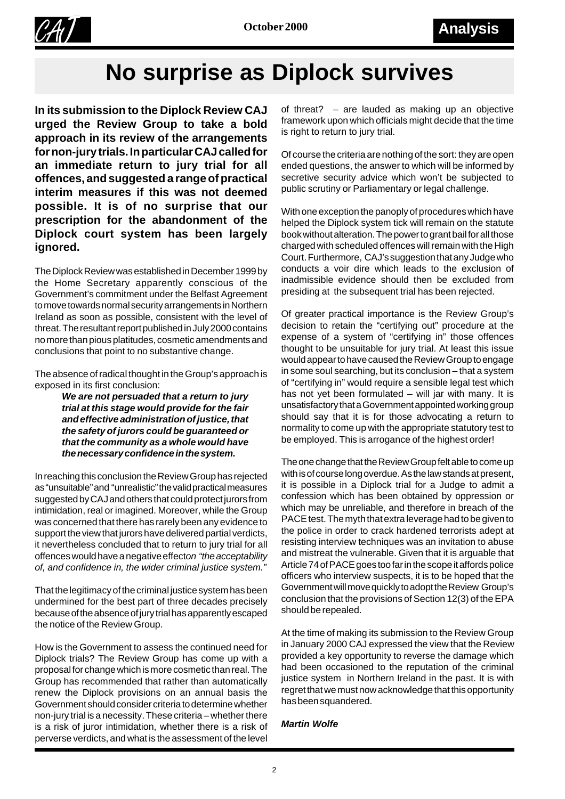

## **No surprise as Diplock survives**

**In its submission to the Diplock Review CAJ urged the Review Group to take a bold approach in its review of the arrangements for non-jury trials. In particular CAJ called for an immediate return to jury trial for all offences, and suggested a range of practical interim measures if this was not deemed possible. It is of no surprise that our prescription for the abandonment of the Diplock court system has been largely ignored.**

The Diplock Review was established in December 1999 by the Home Secretary apparently conscious of the Government's commitment under the Belfast Agreement to move towards normal security arrangements in Northern Ireland as soon as possible, consistent with the level of threat. The resultant report published in July 2000 contains no more than pious platitudes, cosmetic amendments and conclusions that point to no substantive change.

The absence of radical thought in the Group's approach is exposed in its first conclusion:

> *We are not persuaded that a return to jury trial at this stage would provide for the fair and effective administration of justice, that the safety of jurors could be guaranteed or that the community as a whole would have the necessary confidence in the system.*

In reaching this conclusion the Review Group has rejected as "unsuitable" and "unrealistic" the valid practical measures suggested by CAJ and others that could protect jurors from intimidation, real or imagined. Moreover, while the Group was concerned that there has rarely been any evidence to support the view that jurors have delivered partial verdicts, it nevertheless concluded that to return to jury trial for all offences would have a negative effect *on "the acceptability of, and confidence in, the wider criminal justice system."*

That the legitimacy of the criminal justice system has been undermined for the best part of three decades precisely because of the absence of jury trial has apparently escaped the notice of the Review Group.

How is the Government to assess the continued need for Diplock trials? The Review Group has come up with a proposal for change which is more cosmetic than real. The Group has recommended that rather than automatically renew the Diplock provisions on an annual basis the Government should consider criteria to determine whether non-jury trial is a necessity. These criteria – whether there is a risk of juror intimidation, whether there is a risk of perverse verdicts, and what is the assessment of the level

of threat? – are lauded as making up an objective framework upon which officials might decide that the time is right to return to jury trial.

Of course the criteria are nothing of the sort: they are open ended questions, the answer to which will be informed by secretive security advice which won't be subjected to public scrutiny or Parliamentary or legal challenge.

With one exception the panoply of procedures which have helped the Diplock system tick will remain on the statute book without alteration. The power to grant bail for all those charged with scheduled offences will remain with the High Court. Furthermore, CAJ's suggestion that any Judge who conducts a voir dire which leads to the exclusion of inadmissible evidence should then be excluded from presiding at the subsequent trial has been rejected.

Of greater practical importance is the Review Group's decision to retain the "certifying out" procedure at the expense of a system of "certifying in" those offences thought to be unsuitable for jury trial. At least this issue would appear to have caused the Review Group to engage in some soul searching, but its conclusion – that a system of "certifying in" would require a sensible legal test which has not yet been formulated – will jar with many. It is unsatisfactory that a Government appointed working group should say that it is for those advocating a return to normality to come up with the appropriate statutory test to be employed. This is arrogance of the highest order!

The one change that the Review Group felt able to come up with is of course long overdue. As the law stands at present, it is possible in a Diplock trial for a Judge to admit a confession which has been obtained by oppression or which may be unreliable, and therefore in breach of the PACE test. The myth that extra leverage had to be given to the police in order to crack hardened terrorists adept at resisting interview techniques was an invitation to abuse and mistreat the vulnerable. Given that it is arguable that Article 74 of PACE goes too far in the scope it affords police officers who interview suspects, it is to be hoped that the Government will move quickly to adopt the Review Group's conclusion that the provisions of Section 12(3) of the EPA should be repealed.

At the time of making its submission to the Review Group in January 2000 CAJ expressed the view that the Review provided a key opportunity to reverse the damage which had been occasioned to the reputation of the criminal justice system in Northern Ireland in the past. It is with regret that we must now acknowledge that this opportunity has been squandered.

### *Martin Wolfe*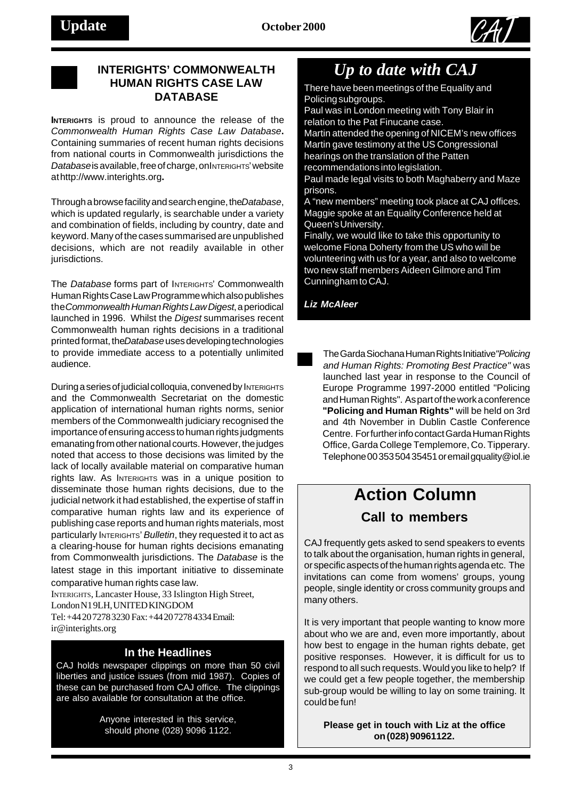



### **INTERIGHTS' COMMONWEALTH HUMAN RIGHTS CASE LAW**

**INTERIGHTS** is proud to announce the release of the *Commonwealth Human Rights Case Law Database***.** Containing summaries of recent human rights decisions from national courts in Commonwealth jurisdictions the *Database* is available, free of charge, on INTERIGHTS' website athttp://www.interights.org**.**

Through a browse facility and search engine, the *Database*, which is updated regularly, is searchable under a variety and combination of fields, including by country, date and keyword. Many of the cases summarised are unpublished decisions, which are not readily available in other jurisdictions.

The *Database* forms part of INTERIGHTS' Commonwealth Human Rights Case Law Programmewhich also publishes the *Commonwealth Human Rights Law Digest*, a periodical launched in 1996. Whilst the *Digest* summarises recent Commonwealth human rights decisions in a traditional printed format, the *Database* uses developing technologies to provide immediate access to a potentially unlimited audience.

During a series of judicial colloquia, convened by INTERIGHTS and the Commonwealth Secretariat on the domestic application of international human rights norms, senior members of the Commonwealth judiciary recognised the importance of ensuring access to human rights judgments emanating from other national courts. However, the judges noted that access to those decisions was limited by the lack of locally available material on comparative human rights law. As INTERIGHTS was in a unique position to disseminate those human rights decisions, due to the judicial network it had established, the expertise of staff in comparative human rights law and its experience of publishing case reports and human rights materials, most particularly INTERIGHTS' *Bulletin*, they requested it to act as a clearing-house for human rights decisions emanating from Commonwealth jurisdictions. The *Database* is the latest stage in this important initiative to disseminate comparative human rights case law.

INTERIGHTS, Lancaster House, 33 Islington High Street, London N1 9LH, UNITED KINGDOM Tel: +44 20 7278 3230 Fax: +44 20 7278 4334Email: ir@interights.org

### **In the Headlines**

CAJ holds newspaper clippings on more than 50 civil liberties and justice issues (from mid 1987). Copies of these can be purchased from CAJ office. The clippings are also available for consultation at the office.

> Anyone interested in this service, should phone (028) 9096 1122.

### *Up to date with CAJ*

**RIGHTS CASE LAW** There have been meetings of the Equality and<br>DATABASE **DATABASE** Policing subgroups.

Paul was in London meeting with Tony Blair in relation to the Pat Finucane case.

Martin attended the opening of NICEM's new offices Martin gave testimony at the US Congressional hearings on the translation of the Patten recommendations into legislation.

Paul made legal visits to both Maghaberry and Maze prisons.

A "new members" meeting took place at CAJ offices. Maggie spoke at an Equality Conference held at Queen's University.

Finally, we would like to take this opportunity to welcome Fiona Doherty from the US who will be volunteering with us for a year, and also to welcome two new staff members Aideen Gilmore and Tim Cunningham to CAJ.

*Liz McAleer*

The Garda Siochana Human Rights Initiative *"Policing and Human Rights: Promoting Best Practice"* was launched last year in response to the Council of Europe Programme 1997-2000 entitled "Policing and Human Rights". As part of the work a conference **"Policing and Human Rights"** will be held on 3rd and 4th November in Dublin Castle Conference Centre. For further info contact Garda Human Rights Office, Garda College Templemore, Co. Tipperary. Telephone 00 353 504 35451 or email gquality@iol.ie

## **Action Column**

### **Call to members**

CAJ frequently gets asked to send speakers to events to talk about the organisation, human rights in general, or specific aspects of the human rights agenda etc. The invitations can come from womens' groups, young people, single identity or cross community groups and many others.

It is very important that people wanting to know more about who we are and, even more importantly, about how best to engage in the human rights debate, get positive responses. However, it is difficult for us to respond to all such requests. Would you like to help? If we could get a few people together, the membership sub-group would be willing to lay on some training. It could be fun!

### **Please get in touch with Liz at the office on (028) 90961122.**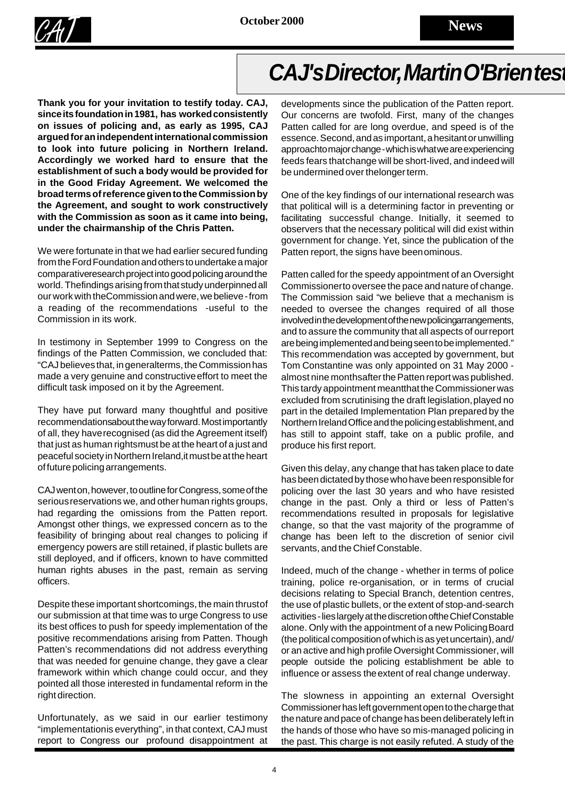

## CAJ's Director, Martin O'Brien test

**Thank you for your invitation to testify today. CAJ, since its foundation in 1981, has worked consistently on issues of policing and, as early as 1995, CAJ argued for an independent international commission to look into future policing in Northern Ireland. Accordingly we worked hard to ensure that the establishment of such a body would be provided for in the Good Friday Agreement. We welcomed the broad terms of reference given to the Commission by the Agreement, and sought to work constructively with the Commission as soon as it came into being, under the chairmanship of the Chris Patten.**

We were fortunate in that we had earlier secured funding from the Ford Foundation and others to undertake a major comparative research project into good policing around the world. The findings arising from that study underpinned all our work with the Commission and were, we believe - from a reading of the recommendations -useful to the Commission in its work.

In testimony in September 1999 to Congress on the findings of the Patten Commission, we concluded that: "CAJ believes that, in general terms, the Commission has made a very genuine and constructive effort to meet the difficult task imposed on it by the Agreement.

They have put forward many thoughtful and positive recommendations about the way forward. Most importantly of all, they have recognised (as did the Agreement itself) that just as human rightsmust be at the heart of a just and peaceful society in Northern Ireland, it must be at the heart of future policing arrangements.

CAJ went on, however, to outline for Congress, some of the serious reservations we, and other human rights groups, had regarding the omissions from the Patten report. Amongst other things, we expressed concern as to the feasibility of bringing about real changes to policing if emergency powers are still retained, if plastic bullets are still deployed, and if officers, known to have committed human rights abuses in the past, remain as serving officers.

Despite these important shortcomings, the main thrust of our submission at that time was to urge Congress to use its best offices to push for speedy implementation of the positive recommendations arising from Patten. Though Patten's recommendations did not address everything that was needed for genuine change, they gave a clear framework within which change could occur, and they pointed all those interested in fundamental reform in the right direction.

Unfortunately, as we said in our earlier testimony "implementationis everything", in that context, CAJ must report to Congress our profound disappointment at

developments since the publication of the Patten report. Our concerns are twofold. First, many of the changes Patten called for are long overdue, and speed is of the essence. Second, and as important, a hesitant or unwilling approachto major change - which is what we are experiencing feeds fears that change will be short-lived, and indeed will be undermined over the longer term.

One of the key findings of our international research was that political will is a determining factor in preventing or facilitating successful change. Initially, it seemed to observers that the necessary political will did exist within government for change. Yet, since the publication of the Patten report, the signs have been ominous.

Patten called for the speedy appointment of an Oversight Commissioner to oversee the pace and nature of change. The Commission said "we believe that a mechanism is needed to oversee the changes required of all those involved in the development of the new policing arrangements, and to assure the community that all aspects of our report are being implemented and being seen to be implemented." This recommendation was accepted by government, but Tom Constantine was only appointed on 31 May 2000 almost nine monthsafter the Patten report was published. This tardy appointment meant that the Commissioner was excluded from scrutinising the draft legislation, played no part in the detailed Implementation Plan prepared by the Northern Ireland Office and the policing establishment, and has still to appoint staff, take on a public profile, and produce his first report.

Given this delay, any change that has taken place to date has been dictated by those who have been responsible for policing over the last 30 years and who have resisted change in the past. Only a third or less of Patten's recommendations resulted in proposals for legislative change, so that the vast majority of the programme of change has been left to the discretion of senior civil servants, and the Chief Constable.

Indeed, much of the change - whether in terms of police training, police re-organisation, or in terms of crucial decisions relating to Special Branch, detention centres, the use of plastic bullets, or the extent of stop-and-search activities - lies largely at the discretion of the Chief Constable alone. Only with the appointment of a new Policing Board (the political composition of which is as yet uncertain), and/ or an active and high profile Oversight Commissioner, will people outside the policing establishment be able to influence or assess the extent of real change underway.

The slowness in appointing an external Oversight Commissioner has left government open to the charge that the nature and pace of change has been deliberately left in the hands of those who have so mis-managed policing in the past. This charge is not easily refuted. A study of the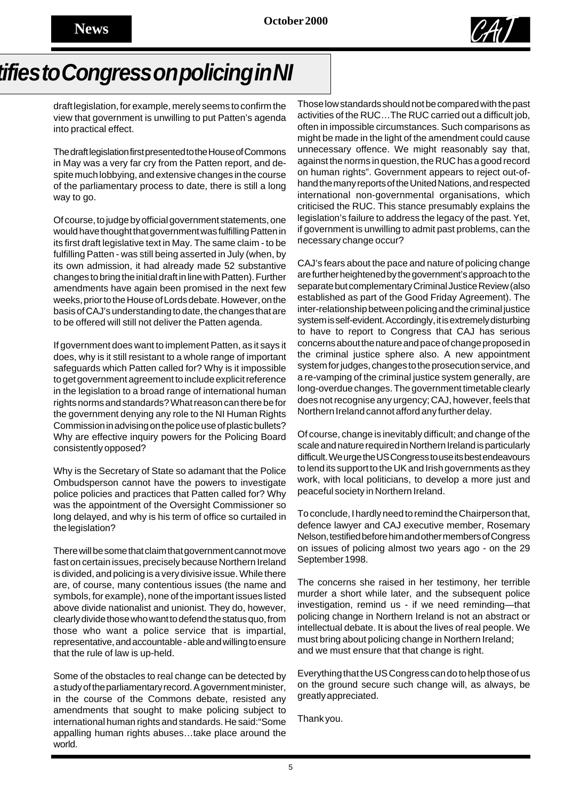

## *tifies to Congress on policing in NI*

draft legislation, for example, merely seems to confirm the view that government is unwilling to put Patten's agenda into practical effect.

The draft legislation first presented to the House of Commons in May was a very far cry from the Patten report, and despite much lobbying, and extensive changes in the course of the parliamentary process to date, there is still a long way to go.

Of course, to judge by official government statements, one would have thought that government was fulfilling Patten in its first draft legislative text in May. The same claim - to be fulfilling Patten - was still being asserted in July (when, by its own admission, it had already made 52 substantive changes to bring the initial draft in line with Patten). Further amendments have again been promised in the next few weeks, prior to the House of Lords debate. However, on the basis of CAJ's understanding to date, the changes that are to be offered will still not deliver the Patten agenda.

If government does want to implement Patten, as it says it does, why is it still resistant to a whole range of important safeguards which Patten called for? Why is it impossible to get government agreement to include explicit reference in the legislation to a broad range of international human rights norms and standards? What reason can there be for the government denying any role to the NI Human Rights Commission in advising on the police use of plastic bullets? Why are effective inquiry powers for the Policing Board consistently opposed?

Why is the Secretary of State so adamant that the Police Ombudsperson cannot have the powers to investigate police policies and practices that Patten called for? Why was the appointment of the Oversight Commissioner so long delayed, and why is his term of office so curtailed in the legislation?

There will be some that claim that government cannot move fast on certain issues, precisely because Northern Ireland is divided, and policing is a very divisive issue. While there are, of course, many contentious issues (the name and symbols, for example), none of the important issues listed above divide nationalist and unionist. They do, however, clearly divide those who want to defend the status quo, from those who want a police service that is impartial, representative, and accountable - able and willing to ensure that the rule of law is up-held.

Some of the obstacles to real change can be detected by a study of the parliamentary record. A government minister, in the course of the Commons debate, resisted any amendments that sought to make policing subject to international human rights and standards. He said:"Some appalling human rights abuses…take place around the world.

Those low standards should not be compared with the past activities of the RUC…The RUC carried out a difficult job, often in impossible circumstances. Such comparisons as might be made in the light of the amendment could cause unnecessary offence. We might reasonably say that, against the norms in question, the RUC has a good record on human rights". Government appears to reject out-ofhand the many reports of the United Nations, and respected international non-governmental organisations, which criticised the RUC. This stance presumably explains the legislation's failure to address the legacy of the past. Yet, if government is unwilling to admit past problems, can the necessary change occur?

CAJ's fears about the pace and nature of policing change are further heightened by the government's approach to the separate but complementary Criminal Justice Review (also established as part of the Good Friday Agreement). The inter-relationship between policing and the criminal justice system is self-evident. Accordingly, it is extremely disturbing to have to report to Congress that CAJ has serious concerns about the nature and pace of change proposed in the criminal justice sphere also. A new appointment system for judges, changes to the prosecution service, and a re-vamping of the criminal justice system generally, are long-overdue changes. The government timetable clearly does not recognise any urgency; CAJ, however, feels that Northern Ireland cannot afford any further delay.

Of course, change is inevitably difficult; and change of the scale and nature required in Northern Ireland is particularly difficult. We urge the US Congress to use its best endeavours to lend its support to the UK and Irish governments as they work, with local politicians, to develop a more just and peaceful society in Northern Ireland.

To conclude, I hardly need to remind the Chairperson that, defence lawyer and CAJ executive member, Rosemary Nelson, testified before him and other members of Congress on issues of policing almost two years ago - on the 29 September 1998.

The concerns she raised in her testimony, her terrible murder a short while later, and the subsequent police investigation, remind us - if we need reminding—that policing change in Northern Ireland is not an abstract or intellectual debate. It is about the lives of real people. We must bring about policing change in Northern Ireland; and we must ensure that that change is right.

Everything that the US Congress can do to help those of us on the ground secure such change will, as always, be greatly appreciated.

Thank you.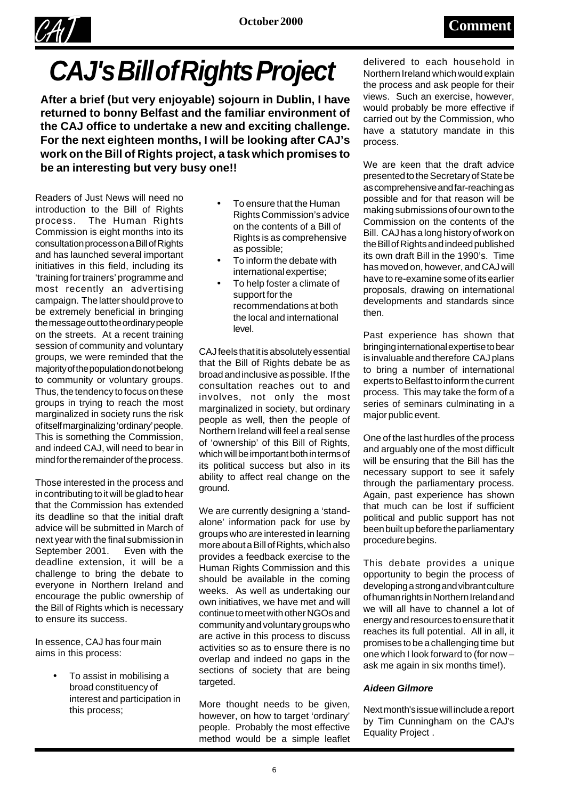

# *CAJ's Bill of Rights Project*

**After a brief (but very enjoyable) sojourn in Dublin, I have returned to bonny Belfast and the familiar environment of the CAJ office to undertake a new and exciting challenge. For the next eighteen months, I will be looking after CAJ's work on the Bill of Rights project, a task which promises to be an interesting but very busy one!!**

Readers of Just News will need no introduction to the Bill of Rights process. The Human Rights Commission is eight months into its consultation process on a Bill of Rights and has launched several important initiatives in this field, including its 'training for trainers' programme and most recently an advertising campaign. The latter should prove to be extremely beneficial in bringing the message out to the ordinary people on the streets. At a recent training session of community and voluntary groups, we were reminded that the majority of the population do not belong to community or voluntary groups. Thus, the tendency to focus on these groups in trying to reach the most marginalized in society runs the risk of itself marginalizing 'ordinary' people. This is something the Commission, and indeed CAJ, will need to bear in mind for the remainder of the process.

Those interested in the process and in contributing to it will be glad to hear that the Commission has extended its deadline so that the initial draft advice will be submitted in March of next year with the final submission in September 2001. Even with the deadline extension, it will be a challenge to bring the debate to everyone in Northern Ireland and encourage the public ownership of the Bill of Rights which is necessary to ensure its success.

In essence, CAJ has four main aims in this process:

> • To assist in mobilising a broad constituency of interest and participation in this process;

- To ensure that the Human Rights Commission's advice on the contents of a Bill of Rights is as comprehensive as possible;
- To inform the debate with international expertise;
- To help foster a climate of support for the recommendations at both the local and international level.

CAJ feels that it is absolutely essential that the Bill of Rights debate be as broad and inclusive as possible. If the consultation reaches out to and involves, not only the most marginalized in society, but ordinary people as well, then the people of Northern Ireland will feel a real sense of 'ownership' of this Bill of Rights, which will be important both in terms of its political success but also in its ability to affect real change on the ground.

We are currently designing a 'standalone' information pack for use by groups who are interested in learning more about a Bill of Rights, which also provides a feedback exercise to the Human Rights Commission and this should be available in the coming weeks. As well as undertaking our own initiatives, we have met and will continue to meet with other NGOs and community and voluntary groups who are active in this process to discuss activities so as to ensure there is no overlap and indeed no gaps in the sections of society that are being targeted.

More thought needs to be given, however, on how to target 'ordinary' people. Probably the most effective method would be a simple leaflet

delivered to each household in Northern Ireland which would explain the process and ask people for their views. Such an exercise, however, would probably be more effective if carried out by the Commission, who have a statutory mandate in this process.

We are keen that the draft advice presented to the Secretary of State be as comprehensive and far-reaching as possible and for that reason will be making submissions of our own to the Commission on the contents of the Bill. CAJ has a long history of work on the Bill of Rights and indeed published its own draft Bill in the 1990's. Time has moved on, however, and CAJ will have to re-examine some of its earlier proposals, drawing on international developments and standards since then.

Past experience has shown that bringing international expertise to bear is invaluable and therefore CAJ plans to bring a number of international experts to Belfast to inform the current process. This may take the form of a series of seminars culminating in a major public event.

One of the last hurdles of the process and arguably one of the most difficult will be ensuring that the Bill has the necessary support to see it safely through the parliamentary process. Again, past experience has shown that much can be lost if sufficient political and public support has not been built up before the parliamentary procedure begins.

This debate provides a unique opportunity to begin the process of developing a strong and vibrant culture of human rights in Northern Ireland and we will all have to channel a lot of energy and resources to ensure that it reaches its full potential. All in all, it promises to be a challenging time but one which I look forward to (for now – ask me again in six months time!).

### *Aideen Gilmore*

Next month's issue will include a report by Tim Cunningham on the CAJ's Equality Project .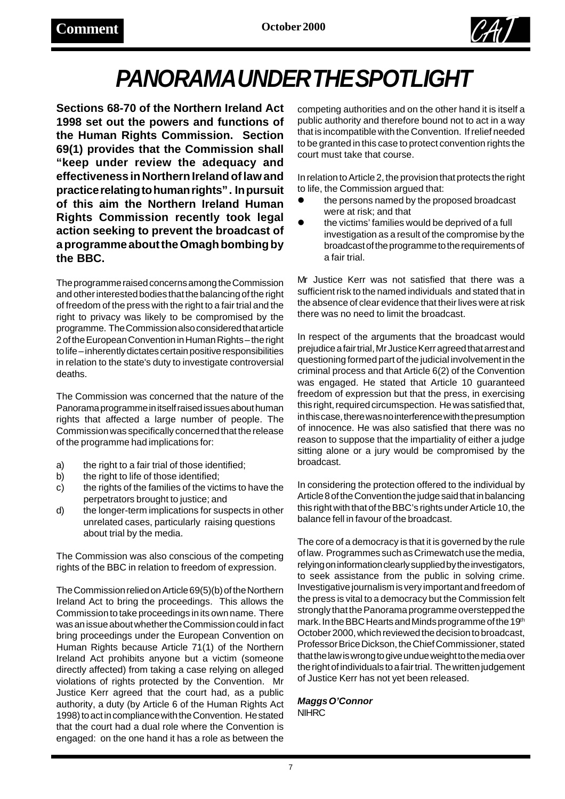

# *PANORAMA UNDER THE SPOTLIGHT*

**Sections 68-70 of the Northern Ireland Act 1998 set out the powers and functions of the Human Rights Commission. Section 69(1) provides that the Commission shall "keep under review the adequacy and effectiveness in Northern Ireland of law and practice relating to human rights" . In pursuit of this aim the Northern Ireland Human Rights Commission recently took legal action seeking to prevent the broadcast of a programme about the Omagh bombing by the BBC.**

The programme raised concerns among the Commission and other interested bodies that the balancing of the right of freedom of the press with the right to a fair trial and the right to privacy was likely to be compromised by the programme. The Commission also considered that article 2 of the European Convention in Human Rights – the right to life – inherently dictates certain positive responsibilities in relation to the state's duty to investigate controversial deaths.

The Commission was concerned that the nature of the Panorama programme in itself raised issues about human rights that affected a large number of people. The Commission was specifically concerned that the release of the programme had implications for:

- a) the right to a fair trial of those identified;
- b) the right to life of those identified;
- c) the rights of the families of the victims to have the perpetrators brought to justice; and
- d) the longer-term implications for suspects in other unrelated cases, particularly raising questions about trial by the media.

The Commission was also conscious of the competing rights of the BBC in relation to freedom of expression.

The Commission relied on Article 69(5)(b) of the Northern Ireland Act to bring the proceedings. This allows the Commission to take proceedings in its own name. There was an issue about whether the Commission could in fact bring proceedings under the European Convention on Human Rights because Article 71(1) of the Northern Ireland Act prohibits anyone but a victim (someone directly affected) from taking a case relying on alleged violations of rights protected by the Convention. Mr Justice Kerr agreed that the court had, as a public authority, a duty (by Article 6 of the Human Rights Act 1998) to act in compliance with the Convention. He stated that the court had a dual role where the Convention is engaged: on the one hand it has a role as between the

competing authorities and on the other hand it is itself a public authority and therefore bound not to act in a way that is incompatible with the Convention. If relief needed to be granted in this case to protect convention rights the court must take that course.

In relation to Article 2, the provision that protects the right to life, the Commission argued that:

- the persons named by the proposed broadcast were at risk; and that
- the victims' families would be deprived of a full investigation as a result of the compromise by the broadcast of the programme to the requirements of a fair trial.

Mr Justice Kerr was not satisfied that there was a sufficient risk to the named individuals and stated that in the absence of clear evidence that their lives were at risk there was no need to limit the broadcast.

In respect of the arguments that the broadcast would prejudice a fair trial, Mr Justice Kerr agreed that arrest and questioning formed part of the judicial involvement in the criminal process and that Article 6(2) of the Convention was engaged. He stated that Article 10 guaranteed freedom of expression but that the press, in exercising this right, required circumspection. He was satisfied that, in this case, there was no interference with the presumption of innocence. He was also satisfied that there was no reason to suppose that the impartiality of either a judge sitting alone or a jury would be compromised by the broadcast.

In considering the protection offered to the individual by Article 8 of the Convention the judge said that in balancing this right with that of the BBC's rights under Article 10, the balance fell in favour of the broadcast.

The core of a democracy is that it is governed by the rule of law. Programmes such as Crimewatch use the media, relying on information clearly supplied by the investigators, to seek assistance from the public in solving crime. Investigative journalism is very important and freedom of the press is vital to a democracy but the Commission felt strongly that the Panorama programme overstepped the mark. In the BBC Hearts and Minds programme of the 19th October 2000, which reviewed the decision to broadcast, Professor Brice Dickson, the Chief Commissioner, stated that the law is wrong to give undue weight to the media over the right of individuals to a fair trial. The written judgement of Justice Kerr has not yet been released.

*Maggs O'Connor* **NIHRC**